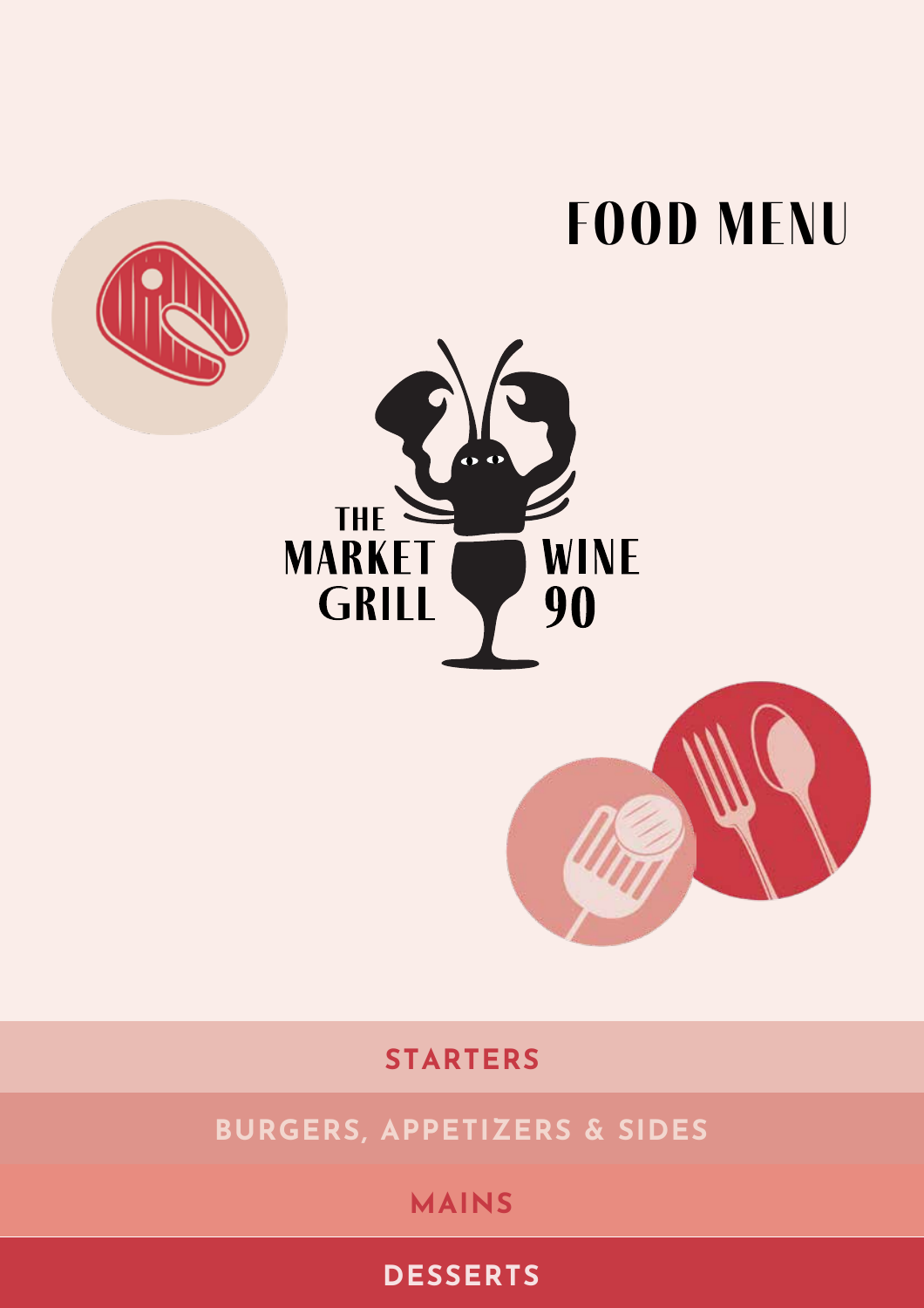# **food menu**





60

**WINE** 

90

THE

**MARKET** 

**GRILL** 

**BURGERS, APPETIZERS & SIDES**

## **MAINS**

## **DESSERTS**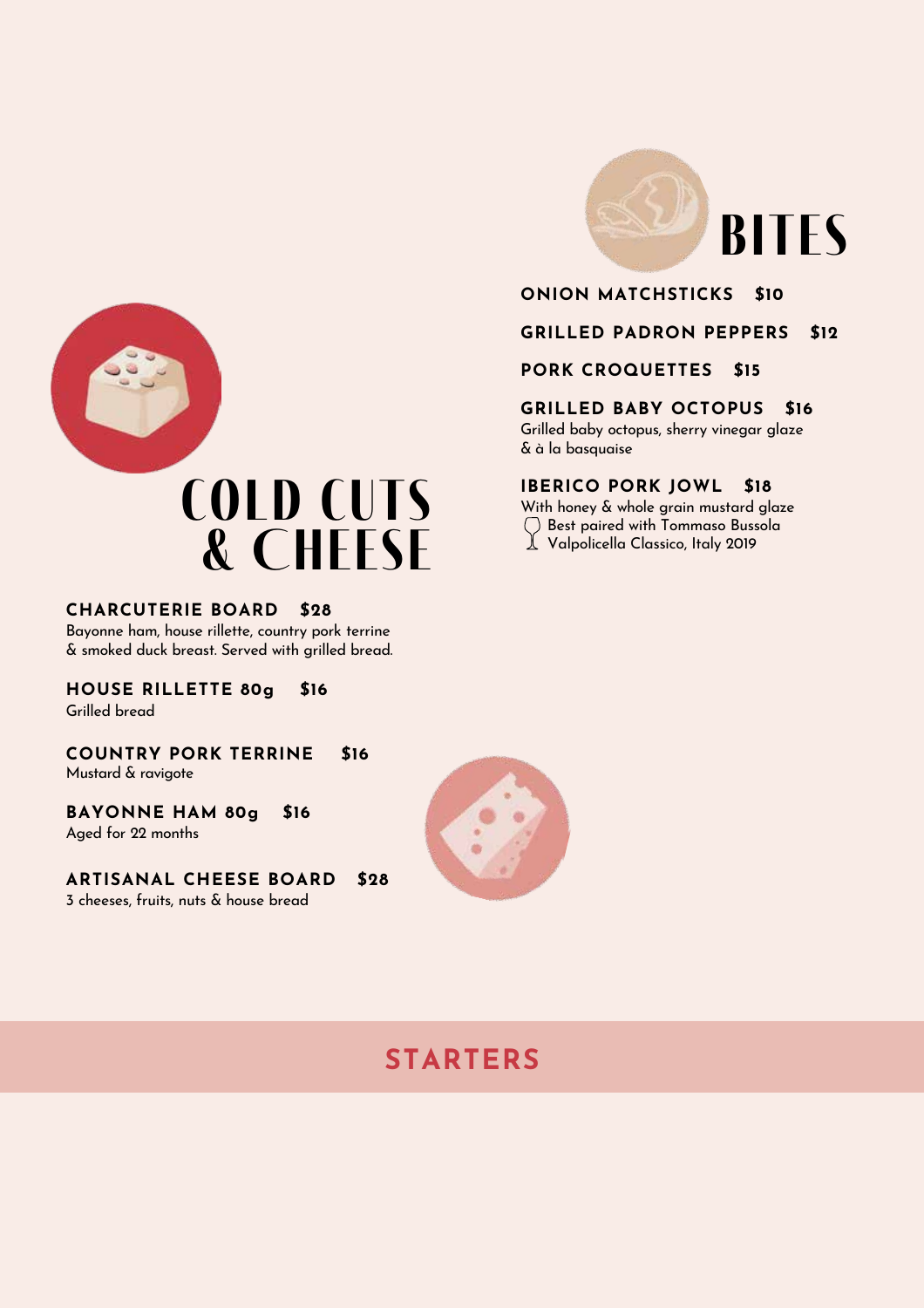



**GRILLED PADRON PEPPERS \$12**

## **PORK CROQUETTES \$15**

## **GRILLED BABY OCTOPUS \$16**

Grilled baby octopus, sherry vinegar glaze & à la basquaise

## **IBERICO PORK JOWL \$18**

With honey & whole grain mustard glaze Best paired with Tommaso Bussola  $\perp$  Valpolicella Classico, Italy 2019



## **CHARCUTERIE BOARD \$28**

Bayonne ham, house rillette, country pork terrine & smoked duck breast. Served with grilled bread.

**HOUSE RILLETTE 80g \$16**

Grilled bread

**\$16** Mustard & ravigote **COUNTRY PORK TERRINE**

**BAYONNE HAM 80g \$16** Aged for 22 months

**ARTISANAL CHEESE BOARD \$28** 3 cheeses, fruits, nuts & house bread



## **STARTERS**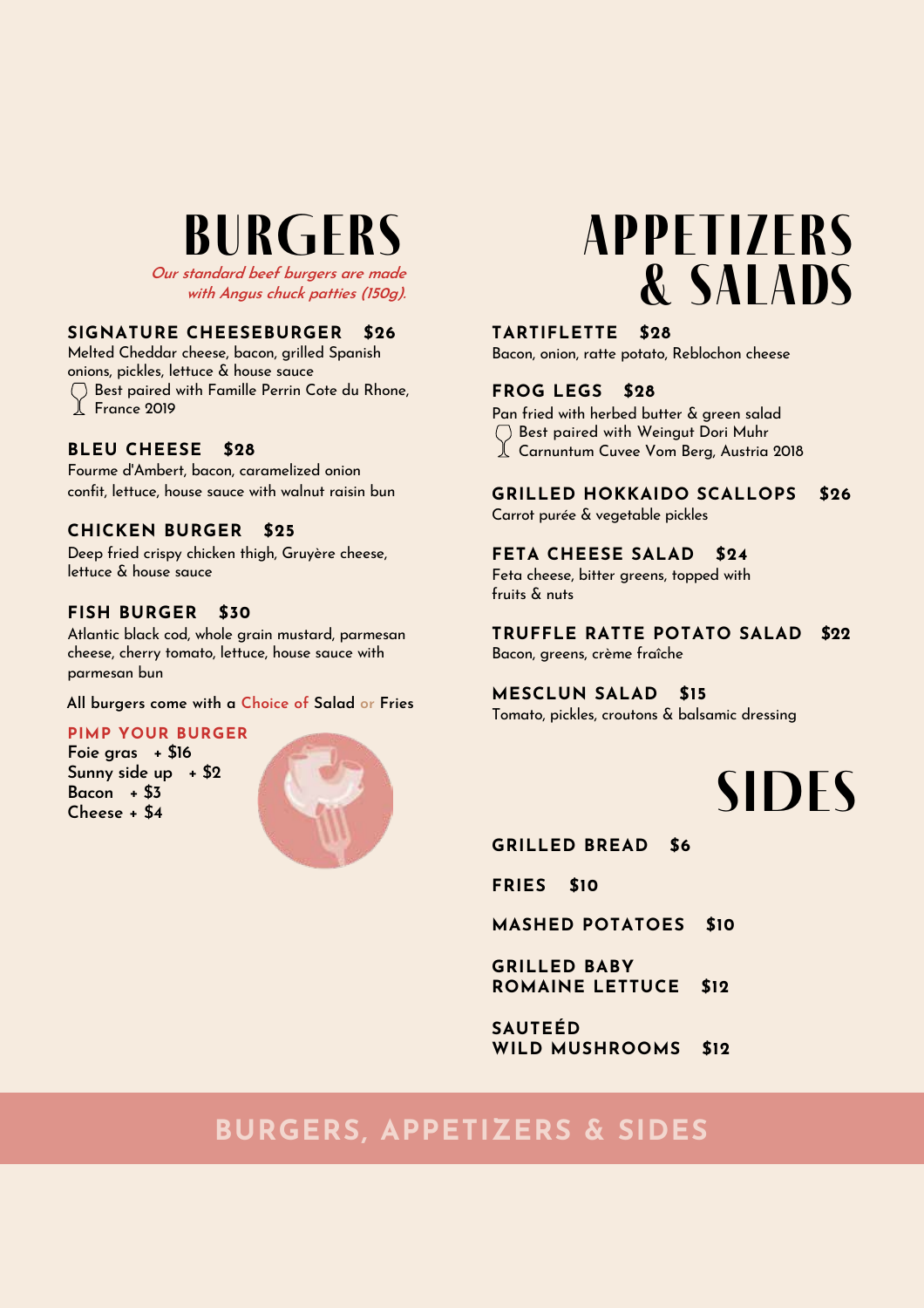## **BURGERS**

**Our standard beef burgers are made with Angus chuck patties (150g).**

## **SIGNATURE CHEESEBURGER \$26**

Melted Cheddar cheese, bacon, grilled Spanish onions, pickles, lettuce & house sauce Best paired with Famille Perrin Cote du Rhone,  $\perp$  France 2019

## **BLEU CHEESE \$28**

Fourme d'Ambert, bacon, caramelized onion confit, lettuce, house sauce with walnut raisin bun

## **CHICKEN BURGER \$25**

Deep fried crispy chicken thigh, Gruyère cheese, lettuce & house sauce

## **FISH BURGER \$30**

Atlantic black cod, whole grain mustard, parmesan cheese, cherry tomato, lettuce, house sauce with parmesan bun

**All burgers come with a Choice of Salad or Fries**

## **PIMP YOUR BURGER**

**Foie gras + \$16 Sunny side up + \$2 Bacon + \$3 Cheese + \$4**



## **APPETIZERs & salads**

## **TARTIFLETTE \$28**

Bacon, onion, ratte potato, Reblochon cheese

## **FROG LEGS \$28**

Pan fried with herbed butter & green salad Best paired with Weingut Dori Muhr L Carnuntum Cuvee Vom Berg, Austria 2018

## **GRILLED HOKKAIDO SCALLOPS \$26**

Carrot purée & vegetable pickles

### **FETA CHEESE SALAD \$24**

Feta cheese, bitter greens, topped with fruits & nuts

#### **TRUFFLE RATTE POTATO SALAD \$22** Bacon, greens, crème fraîche

**MESCLUN SALAD \$15**

Tomato, pickles, croutons & balsamic dressing

## **SIDES**

**GRILLED BREAD \$6**

**FRIES \$10**

**MASHED POTATOES \$10**

**GRILLED BABY ROMAINE LETTUCE \$12**

**SAUTEÉD WILD MUSHROOMS \$12**

## **BURGERS, APPETIZERS & SIDES**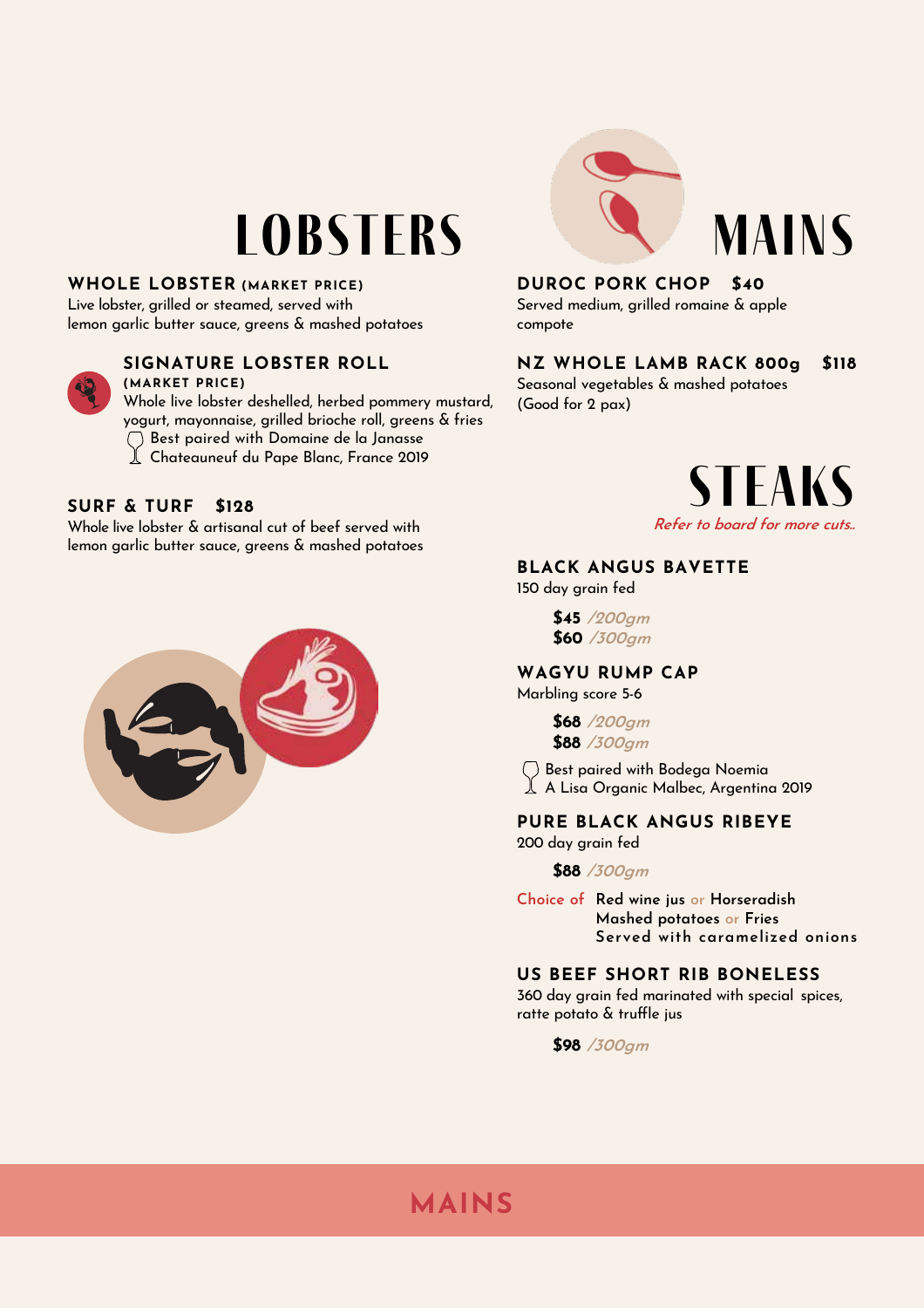## **Lobsters**

### **WHOLE LOBSTER (MARKET PRICE)**

Live lobster, grilled or steamed, served with lemon garlic butter sauce, greens & mashed potatoes



## **SIGNATURE LOBSTER ROLL**

**(MARKET PRICE)** Whole live lobster deshelled, herbed pommery mustard, yogurt, mayonnaise, grilled brioche roll, greens & fries Best paired with Domaine de la Janasse

Chateauneuf du Pape Blanc, France 2019

## **SURF & TURF \$128**

Whole live lobster & artisanal cut of beef served with lemon garlic butter sauce, greens & mashed potatoes





## **DUROC PORK CHOP \$40**

Served medium, grilled romaine & apple compote

#### **NZ WHOLE LAMB RACK 800g \$118**

Seasonal vegetables & mashed potatoes (Good for 2 pax)



**Mains**

### **BLACK ANGUS BAVETTE**

150 day grain fed

**\$45 /200gm \$60 /300gm**

## **WAGYU RUMP CAP**

Marbling score 5 -6

**\$68 /200gm \$88 /300gm**

Best paired with Bodega Noemia A Lisa Organic Malbec, Argentina 2019

#### **PURE BLACK ANGUS RIBEYE** 200 day grain fed

#### **\$88 /300gm**

**Choice of Red wine jus or Horseradish Mashed potatoes or Fries Served with caramelized onions**

#### **US BEEF SHORT RIB BONELESS**

360 day grain fed marinated with special spices, ratte potato & truffle jus

**\$98 /300gm**

## **MAINS**